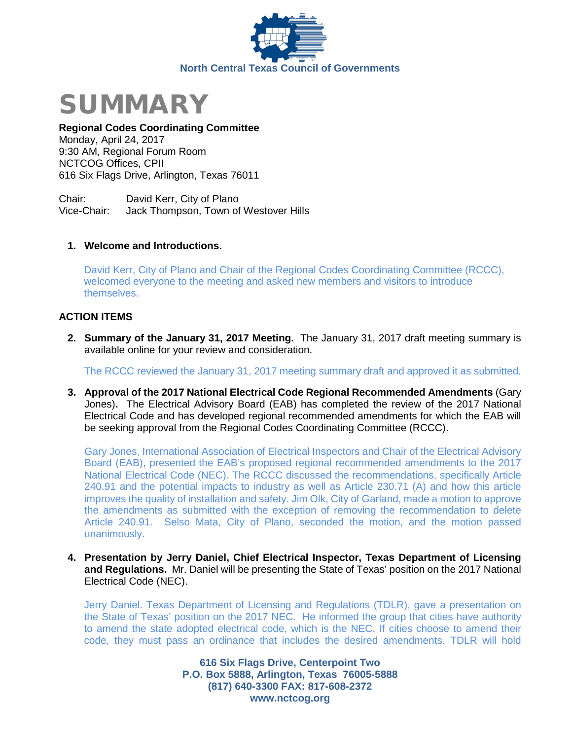



# **Regional Codes Coordinating Committee**

Monday, April 24, 2017 9:30 AM, Regional Forum Room NCTCOG Offices, CPII 616 Six Flags Drive, Arlington, Texas 76011

Chair: David Kerr, City of Plano<br>Vice-Chair: Jack Thompson. Town of Jack Thompson, Town of Westover Hills

## **1. Welcome and Introductions**.

David Kerr, City of Plano and Chair of the Regional Codes Coordinating Committee (RCCC), welcomed everyone to the meeting and asked new members and visitors to introduce themselves.

## **ACTION ITEMS**

**2. Summary of the January 31, 2017 Meeting.** The January 31, 2017 draft meeting summary is available online for your review and consideration.

The RCCC reviewed the January 31, 2017 meeting summary draft and approved it as submitted.

**3. Approval of the 2017 National Electrical Code Regional Recommended Amendments** (Gary Jones)**.** The Electrical Advisory Board (EAB) has completed the review of the 2017 National Electrical Code and has developed regional recommended amendments for which the EAB will be seeking approval from the Regional Codes Coordinating Committee (RCCC).

Gary Jones, International Association of Electrical Inspectors and Chair of the Electrical Advisory Board (EAB), presented the EAB's proposed regional recommended amendments to the 2017 National Electrical Code (NEC). The RCCC discussed the recommendations, specifically Article 240.91 and the potential impacts to industry as well as Article 230.71 (A) and how this article improves the quality of installation and safety. Jim Olk, City of Garland, made a motion to approve the amendments as submitted with the exception of removing the recommendation to delete Article 240.91. Selso Mata, City of Plano, seconded the motion, and the motion passed unanimously.

**4. Presentation by Jerry Daniel, Chief Electrical Inspector, Texas Department of Licensing and Regulations.** Mr. Daniel will be presenting the State of Texas' position on the 2017 National Electrical Code (NEC).

Jerry Daniel. Texas Department of Licensing and Regulations (TDLR), gave a presentation on the State of Texas' position on the 2017 NEC. He informed the group that cities have authority to amend the state adopted electrical code, which is the NEC. If cities choose to amend their code, they must pass an ordinance that includes the desired amendments. TDLR will hold

> **616 Six Flags Drive, Centerpoint Two P.O. Box 5888, Arlington, Texas 76005-5888 (817) 640-3300 FAX: 817-608-2372 www.nctcog.org**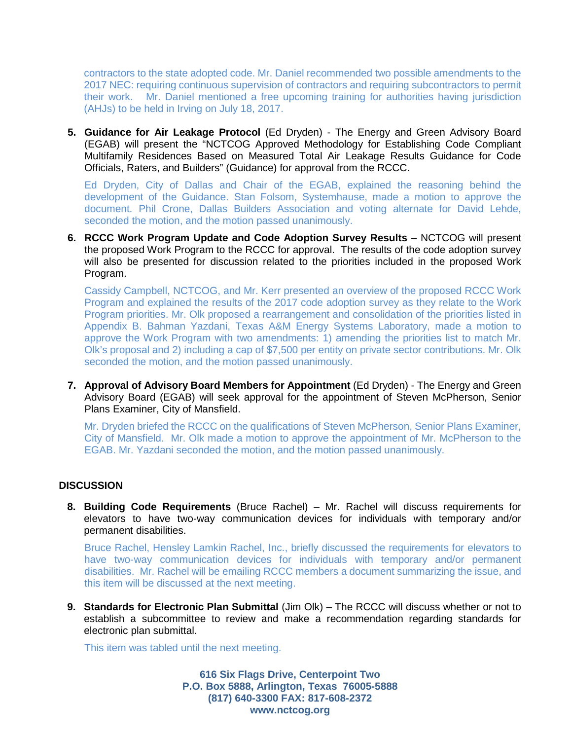contractors to the state adopted code. Mr. Daniel recommended two possible amendments to the 2017 NEC: requiring continuous supervision of contractors and requiring subcontractors to permit their work. Mr. Daniel mentioned a free upcoming training for authorities having jurisdiction (AHJs) to be held in Irving on July 18, 2017.

**5. Guidance for Air Leakage Protocol** (Ed Dryden) - The Energy and Green Advisory Board (EGAB) will present the "NCTCOG Approved Methodology for Establishing Code Compliant Multifamily Residences Based on Measured Total Air Leakage Results Guidance for Code Officials, Raters, and Builders" (Guidance) for approval from the RCCC.

Ed Dryden, City of Dallas and Chair of the EGAB, explained the reasoning behind the development of the Guidance. Stan Folsom, Systemhause, made a motion to approve the document. Phil Crone, Dallas Builders Association and voting alternate for David Lehde, seconded the motion, and the motion passed unanimously.

**6. RCCC Work Program Update and Code Adoption Survey Results** – NCTCOG will present the proposed Work Program to the RCCC for approval. The results of the code adoption survey will also be presented for discussion related to the priorities included in the proposed Work Program.

Cassidy Campbell, NCTCOG, and Mr. Kerr presented an overview of the proposed RCCC Work Program and explained the results of the 2017 code adoption survey as they relate to the Work Program priorities. Mr. Olk proposed a rearrangement and consolidation of the priorities listed in Appendix B. Bahman Yazdani, Texas A&M Energy Systems Laboratory, made a motion to approve the Work Program with two amendments: 1) amending the priorities list to match Mr. Olk's proposal and 2) including a cap of \$7,500 per entity on private sector contributions. Mr. Olk seconded the motion, and the motion passed unanimously.

**7. Approval of Advisory Board Members for Appointment** (Ed Dryden) - The Energy and Green Advisory Board (EGAB) will seek approval for the appointment of Steven McPherson, Senior Plans Examiner, City of Mansfield.

Mr. Dryden briefed the RCCC on the qualifications of Steven McPherson, Senior Plans Examiner, City of Mansfield. Mr. Olk made a motion to approve the appointment of Mr. McPherson to the EGAB. Mr. Yazdani seconded the motion, and the motion passed unanimously.

#### **DISCUSSION**

**8. Building Code Requirements** (Bruce Rachel) – Mr. Rachel will discuss requirements for elevators to have two-way communication devices for individuals with temporary and/or permanent disabilities.

Bruce Rachel, Hensley Lamkin Rachel, Inc., briefly discussed the requirements for elevators to have two-way communication devices for individuals with temporary and/or permanent disabilities. Mr. Rachel will be emailing RCCC members a document summarizing the issue, and this item will be discussed at the next meeting.

**9. Standards for Electronic Plan Submittal** (Jim Olk) – The RCCC will discuss whether or not to establish a subcommittee to review and make a recommendation regarding standards for electronic plan submittal.

This item was tabled until the next meeting.

**616 Six Flags Drive, Centerpoint Two P.O. Box 5888, Arlington, Texas 76005-5888 (817) 640-3300 FAX: 817-608-2372 www.nctcog.org**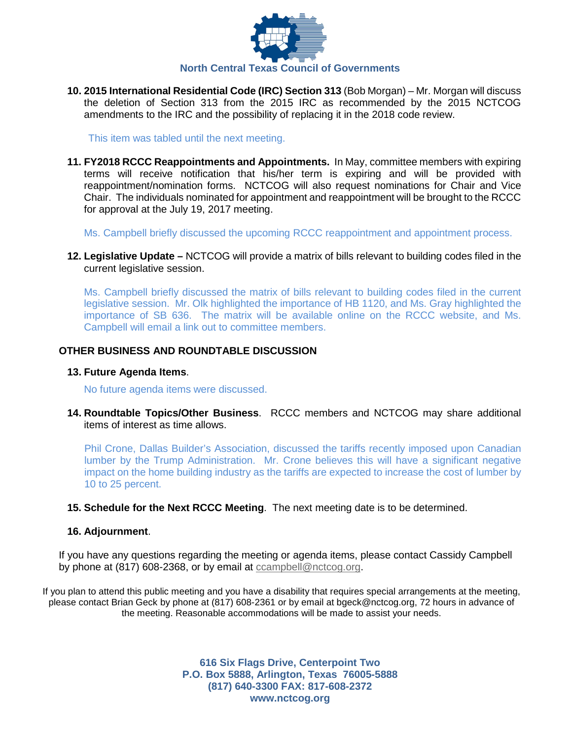

**10. 2015 International Residential Code (IRC) Section 313** (Bob Morgan) – Mr. Morgan will discuss the deletion of Section 313 from the 2015 IRC as recommended by the 2015 NCTCOG amendments to the IRC and the possibility of replacing it in the 2018 code review.

This item was tabled until the next meeting.

**11. FY2018 RCCC Reappointments and Appointments.** In May, committee members with expiring terms will receive notification that his/her term is expiring and will be provided with reappointment/nomination forms. NCTCOG will also request nominations for Chair and Vice Chair. The individuals nominated for appointment and reappointment will be brought to the RCCC for approval at the July 19, 2017 meeting.

Ms. Campbell briefly discussed the upcoming RCCC reappointment and appointment process.

**12. Legislative Update –** NCTCOG will provide a matrix of bills relevant to building codes filed in the current legislative session.

Ms. Campbell briefly discussed the matrix of bills relevant to building codes filed in the current legislative session. Mr. Olk highlighted the importance of HB 1120, and Ms. Gray highlighted the importance of SB 636. The matrix will be available online on the RCCC website, and Ms. Campbell will email a link out to committee members.

## **OTHER BUSINESS AND ROUNDTABLE DISCUSSION**

#### **13. Future Agenda Items**.

No future agenda items were discussed.

**14. Roundtable Topics/Other Business**. RCCC members and NCTCOG may share additional items of interest as time allows.

Phil Crone, Dallas Builder's Association, discussed the tariffs recently imposed upon Canadian lumber by the Trump Administration. Mr. Crone believes this will have a significant negative impact on the home building industry as the tariffs are expected to increase the cost of lumber by 10 to 25 percent.

**15. Schedule for the Next RCCC Meeting**. The next meeting date is to be determined.

#### **16. Adjournment**.

If you have any questions regarding the meeting or agenda items, please contact Cassidy Campbell by phone at (817) 608-2368, or by email at [ccampbell@nctcog.org.](mailto:ccampbell@nctcog.org)

If you plan to attend this public meeting and you have a disability that requires special arrangements at the meeting, please contact Brian Geck by phone at (817) 608-2361 or by email at bgeck@nctcog.org, 72 hours in advance of the meeting. Reasonable accommodations will be made to assist your needs.

> **616 Six Flags Drive, Centerpoint Two P.O. Box 5888, Arlington, Texas 76005-5888 (817) 640-3300 FAX: 817-608-2372 www.nctcog.org**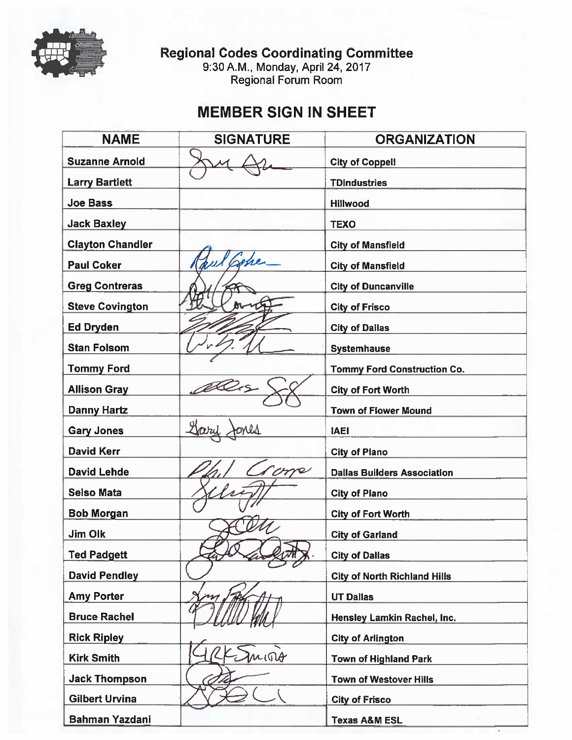

Regional Codes Coordinating Committee<br>9:30 A.M., Monday, April 24, 2017<br>Regional Forum Room

# **MEMBER SIGN IN SHEET**

| <b>NAME</b>             | <b>SIGNATURE</b> | <b>ORGANIZATION</b>                 |
|-------------------------|------------------|-------------------------------------|
| <b>Suzanne Arnold</b>   |                  | <b>City of Coppell</b>              |
| <b>Larry Bartlett</b>   |                  | <b>TDIndustries</b>                 |
| <b>Joe Bass</b>         |                  | Hillwood                            |
| <b>Jack Baxley</b>      |                  | <b>TEXO</b>                         |
| <b>Clayton Chandler</b> |                  | <b>City of Mansfield</b>            |
| <b>Paul Coker</b>       |                  | <b>City of Mansfield</b>            |
| <b>Greg Contreras</b>   |                  | <b>City of Duncanville</b>          |
| <b>Steve Covington</b>  |                  | <b>City of Frisco</b>               |
| Ed Dryden               |                  | <b>City of Dallas</b>               |
| <b>Stan Folsom</b>      |                  | <b>Systemhause</b>                  |
| <b>Tommy Ford</b>       |                  | <b>Tommy Ford Construction Co.</b>  |
| <b>Allison Gray</b>     |                  | <b>City of Fort Worth</b>           |
| <b>Danny Hartz</b>      |                  | <b>Town of Flower Mound</b>         |
| <b>Gary Jones</b>       |                  | IAEI.                               |
| <b>David Kerr</b>       |                  | <b>City of Plano</b>                |
| <b>David Lehde</b>      |                  | <b>Dallas Builders Association</b>  |
| <b>Selso Mata</b>       |                  | <b>City of Plano</b>                |
| <b>Bob Morgan</b>       |                  | <b>City of Fort Worth</b>           |
| Jim Olk                 |                  | <b>City of Garland</b>              |
| Ted Padgett             | ж.               | <b>City of Dallas</b>               |
| <b>David Pendley</b>    |                  | <b>City of North Richland Hills</b> |
| <b>Amy Porter</b>       |                  | <b>UT Dallas</b>                    |
| <b>Bruce Rachel</b>     |                  | Hensley Lamkin Rachel, Inc.         |
| <b>Rick Ripley</b>      |                  | <b>City of Arlington</b>            |
| <b>Kirk Smith</b>       | mino             | <b>Town of Highland Park</b>        |
| <b>Jack Thompson</b>    |                  | <b>Town of Westover Hills</b>       |
| <b>Gilbert Urvina</b>   |                  | <b>City of Frisco</b>               |
| <b>Bahman Yazdani</b>   |                  | <b>Texas A&amp;M ESL</b>            |